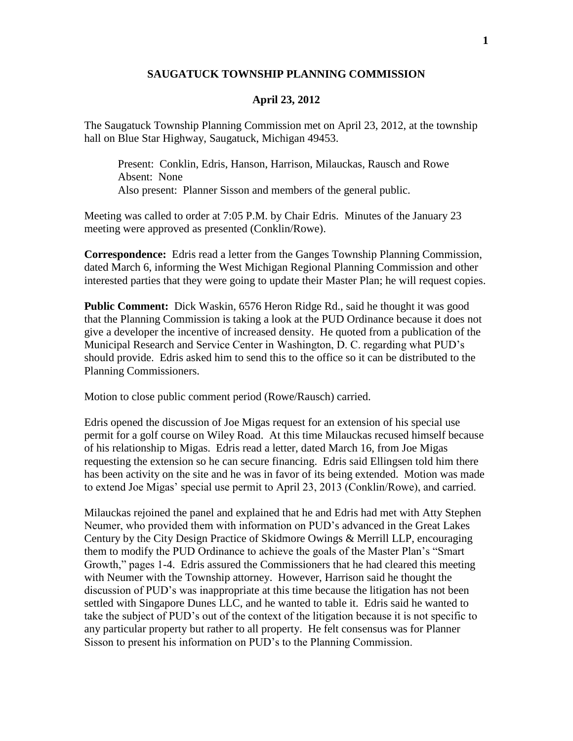## **SAUGATUCK TOWNSHIP PLANNING COMMISSION**

## **April 23, 2012**

The Saugatuck Township Planning Commission met on April 23, 2012, at the township hall on Blue Star Highway, Saugatuck, Michigan 49453.

Present: Conklin, Edris, Hanson, Harrison, Milauckas, Rausch and Rowe Absent: None Also present: Planner Sisson and members of the general public.

Meeting was called to order at 7:05 P.M. by Chair Edris. Minutes of the January 23 meeting were approved as presented (Conklin/Rowe).

**Correspondence:** Edris read a letter from the Ganges Township Planning Commission, dated March 6, informing the West Michigan Regional Planning Commission and other interested parties that they were going to update their Master Plan; he will request copies.

**Public Comment:** Dick Waskin, 6576 Heron Ridge Rd., said he thought it was good that the Planning Commission is taking a look at the PUD Ordinance because it does not give a developer the incentive of increased density. He quoted from a publication of the Municipal Research and Service Center in Washington, D. C. regarding what PUD's should provide. Edris asked him to send this to the office so it can be distributed to the Planning Commissioners.

Motion to close public comment period (Rowe/Rausch) carried.

Edris opened the discussion of Joe Migas request for an extension of his special use permit for a golf course on Wiley Road. At this time Milauckas recused himself because of his relationship to Migas. Edris read a letter, dated March 16, from Joe Migas requesting the extension so he can secure financing. Edris said Ellingsen told him there has been activity on the site and he was in favor of its being extended. Motion was made to extend Joe Migas' special use permit to April 23, 2013 (Conklin/Rowe), and carried.

Milauckas rejoined the panel and explained that he and Edris had met with Atty Stephen Neumer, who provided them with information on PUD's advanced in the Great Lakes Century by the City Design Practice of Skidmore Owings & Merrill LLP, encouraging them to modify the PUD Ordinance to achieve the goals of the Master Plan's "Smart Growth," pages 1-4. Edris assured the Commissioners that he had cleared this meeting with Neumer with the Township attorney. However, Harrison said he thought the discussion of PUD's was inappropriate at this time because the litigation has not been settled with Singapore Dunes LLC, and he wanted to table it. Edris said he wanted to take the subject of PUD's out of the context of the litigation because it is not specific to any particular property but rather to all property. He felt consensus was for Planner Sisson to present his information on PUD's to the Planning Commission.